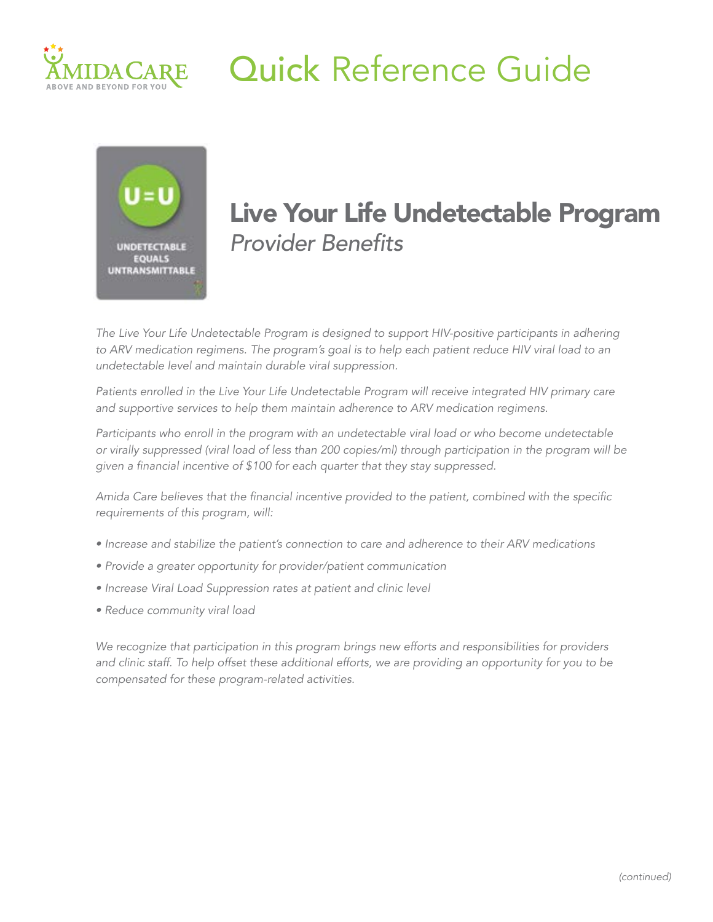

## Quick Reference Guide



# Live Your Life Undetectable Program

*The Live Your Life Undetectable Program is designed to support HIV-positive participants in adhering to ARV medication regimens. The program's goal is to help each patient reduce HIV viral load to an undetectable level and maintain durable viral suppression.* 

*Patients enrolled in the Live Your Life Undetectable Program will receive integrated HIV primary care and supportive services to help them maintain adherence to ARV medication regimens.*

*Participants who enroll in the program with an undetectable viral load or who become undetectable or virally suppressed (viral load of less than 200 copies/ml) through participation in the program will be*  given a financial incentive of \$100 for each quarter that they stay suppressed.

Amida Care believes that the financial incentive provided to the patient, combined with the specific requirements of this program, will:

- *• Increase and stabilize the patient's connection to care and adherence to their ARV medications*
- *• Provide a greater opportunity for provider/patient communication*
- *• Increase Viral Load Suppression rates at patient and clinic level*
- *Reduce community viral load*

*We recognize that participation in this program brings new efforts and responsibilities for providers*  and clinic staff. To help offset these additional efforts, we are providing an opportunity for you to be *compensated for these program-related activities.*